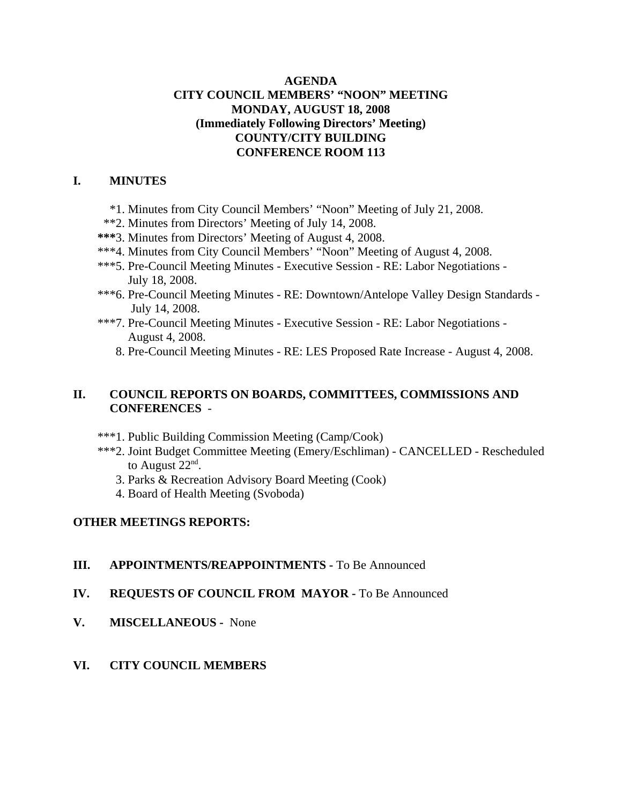### **AGENDA CITY COUNCIL MEMBERS' "NOON" MEETING MONDAY, AUGUST 18, 2008 (Immediately Following Directors' Meeting) COUNTY/CITY BUILDING CONFERENCE ROOM 113**

### **I. MINUTES**

- \*1. Minutes from City Council Members' "Noon" Meeting of July 21, 2008.
- \*\*2. Minutes from Directors' Meeting of July 14, 2008.
- **\*\*\***3. Minutes from Directors' Meeting of August 4, 2008.
- \*\*\*4. Minutes from City Council Members' "Noon" Meeting of August 4, 2008.
- \*\*\*5. Pre-Council Meeting Minutes Executive Session RE: Labor Negotiations July 18, 2008.
- \*\*\* 6. Pre-Council Meeting Minutes RE: Downtown/Antelope Valley Design Standards July 14, 2008.
- \*\*\*7. Pre-Council Meeting Minutes Executive Session RE: Labor Negotiations August 4, 2008.
	- 8. Pre-Council Meeting Minutes RE: LES Proposed Rate Increase August 4, 2008.

### **II. COUNCIL REPORTS ON BOARDS, COMMITTEES, COMMISSIONS AND CONFERENCES** -

- \*\*\*1. Public Building Commission Meeting (Camp/Cook)
- \*\*\*2. Joint Budget Committee Meeting (Emery/Eschliman) CANCELLED Rescheduled to August 22<sup>nd</sup>.
	- 3. Parks & Recreation Advisory Board Meeting (Cook)
	- 4. Board of Health Meeting (Svoboda)

### **OTHER MEETINGS REPORTS:**

#### **III.** APPOINTMENTS/REAPPOINTMENTS - To Be Announced

- **IV. REQUESTS OF COUNCIL FROM MAYOR -** To Be Announced
- **V. MISCELLANEOUS -** None
- **VI. CITY COUNCIL MEMBERS**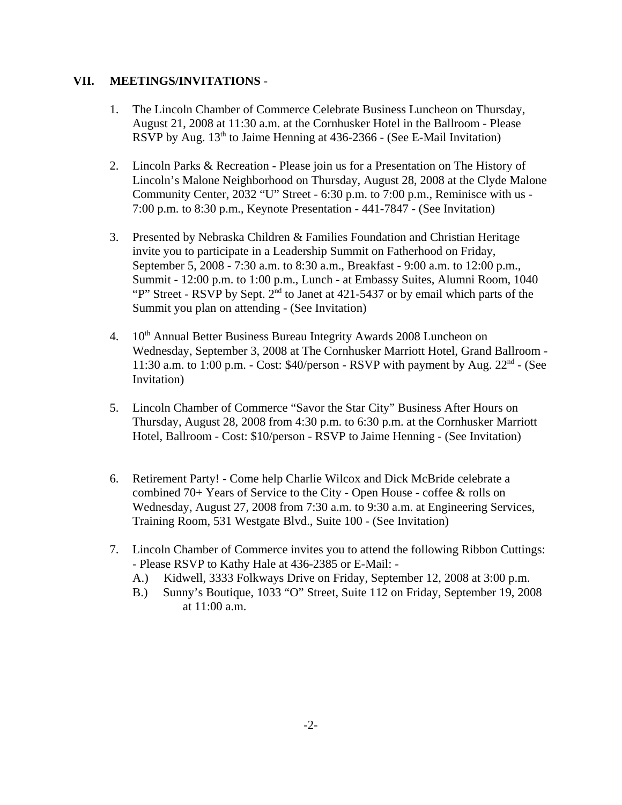### **VII. MEETINGS/INVITATIONS** -

- 1. The Lincoln Chamber of Commerce Celebrate Business Luncheon on Thursday, August 21, 2008 at 11:30 a.m. at the Cornhusker Hotel in the Ballroom - Please RSVP by Aug.  $13<sup>th</sup>$  to Jaime Henning at 436-2366 - (See E-Mail Invitation)
- 2. Lincoln Parks & Recreation Please join us for a Presentation on The History of Lincoln's Malone Neighborhood on Thursday, August 28, 2008 at the Clyde Malone Community Center, 2032 "U" Street - 6:30 p.m. to 7:00 p.m., Reminisce with us - 7:00 p.m. to 8:30 p.m., Keynote Presentation - 441-7847 - (See Invitation)
- 3. Presented by Nebraska Children & Families Foundation and Christian Heritage invite you to participate in a Leadership Summit on Fatherhood on Friday, September 5, 2008 - 7:30 a.m. to 8:30 a.m., Breakfast - 9:00 a.m. to 12:00 p.m., Summit - 12:00 p.m. to 1:00 p.m., Lunch - at Embassy Suites, Alumni Room, 1040 "P" Street - RSVP by Sept.  $2<sup>nd</sup>$  to Janet at 421-5437 or by email which parts of the Summit you plan on attending - (See Invitation)
- 4. 10<sup>th</sup> Annual Better Business Bureau Integrity Awards 2008 Luncheon on Wednesday, September 3, 2008 at The Cornhusker Marriott Hotel, Grand Ballroom - 11:30 a.m. to 1:00 p.m. - Cost:  $$40/person$  - RSVP with payment by Aug.  $22<sup>nd</sup>$  - (See Invitation)
- 5. Lincoln Chamber of Commerce "Savor the Star City" Business After Hours on Thursday, August 28, 2008 from 4:30 p.m. to 6:30 p.m. at the Cornhusker Marriott Hotel, Ballroom - Cost: \$10/person - RSVP to Jaime Henning - (See Invitation)
- 6. Retirement Party! Come help Charlie Wilcox and Dick McBride celebrate a combined 70+ Years of Service to the City - Open House - coffee & rolls on Wednesday, August 27, 2008 from 7:30 a.m. to 9:30 a.m. at Engineering Services, Training Room, 531 Westgate Blvd., Suite 100 - (See Invitation)
- 7. Lincoln Chamber of Commerce invites you to attend the following Ribbon Cuttings: - Please RSVP to Kathy Hale at 436-2385 or E-Mail: -
	- A.) Kidwell, 3333 Folkways Drive on Friday, September 12, 2008 at 3:00 p.m.
	- B.) Sunny's Boutique, 1033 "O" Street, Suite 112 on Friday, September 19, 2008 at 11:00 a.m.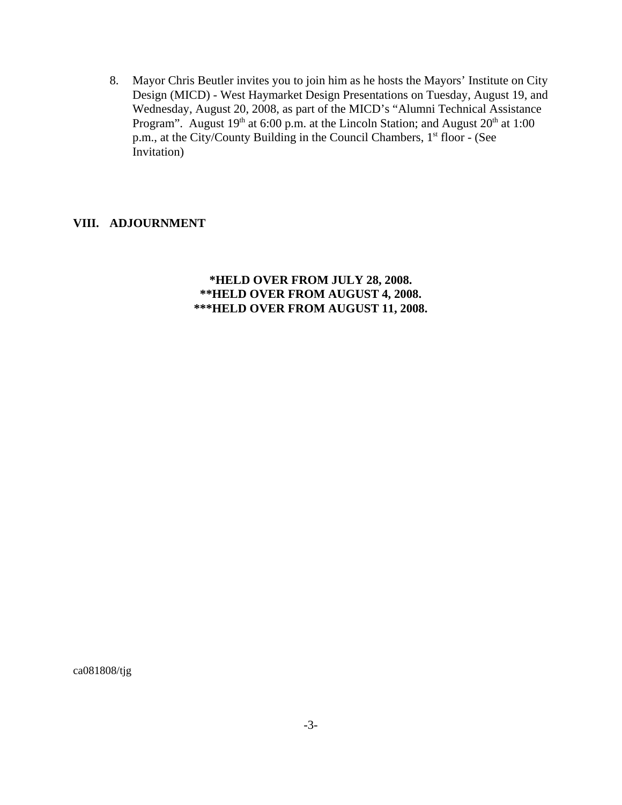8. Mayor Chris Beutler invites you to join him as he hosts the Mayors' Institute on City Design (MICD) - West Haymarket Design Presentations on Tuesday, August 19, and Wednesday, August 20, 2008, as part of the MICD's "Alumni Technical Assistance Program". August  $19<sup>th</sup>$  at 6:00 p.m. at the Lincoln Station; and August  $20<sup>th</sup>$  at 1:00 p.m., at the City/County Building in the Council Chambers, 1<sup>st</sup> floor - (See Invitation)

### **VIII. ADJOURNMENT**

**\*HELD OVER FROM JULY 28, 2008. \*\*HELD OVER FROM AUGUST 4, 2008. \*\*\*HELD OVER FROM AUGUST 11, 2008.**

ca081808/tjg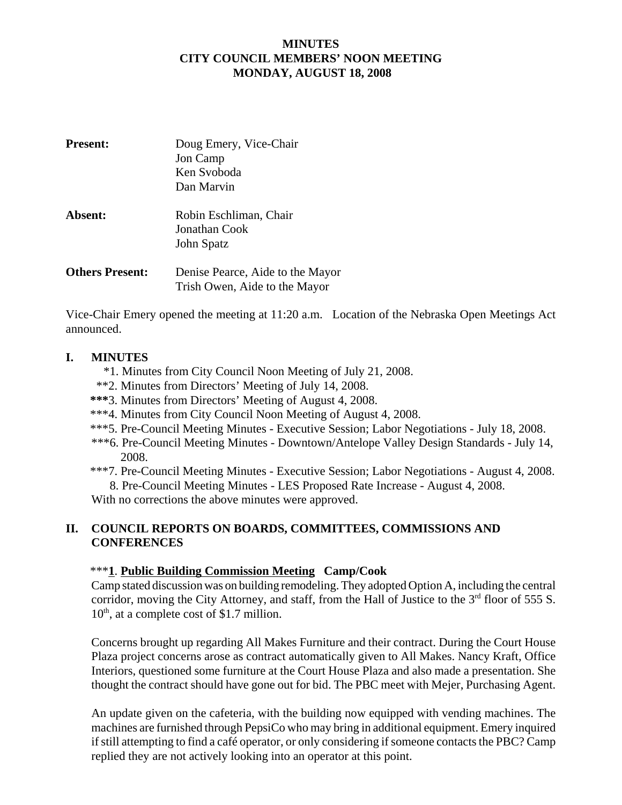## **MINUTES CITY COUNCIL MEMBERS' NOON MEETING MONDAY, AUGUST 18, 2008**

| <b>Present:</b>        | Doug Emery, Vice-Chair           |
|------------------------|----------------------------------|
|                        | Jon Camp                         |
|                        | Ken Svoboda                      |
|                        | Dan Marvin                       |
| <b>Absent:</b>         | Robin Eschliman, Chair           |
|                        | Jonathan Cook                    |
|                        | John Spatz                       |
| <b>Others Present:</b> | Denise Pearce, Aide to the Mayor |
|                        | Trish Owen, Aide to the Mayor    |

Vice-Chair Emery opened the meeting at 11:20 a.m. Location of the Nebraska Open Meetings Act announced.

### **I. MINUTES**

- \*1. Minutes from City Council Noon Meeting of July 21, 2008.
- \*\*2. Minutes from Directors' Meeting of July 14, 2008.
- **\*\*\***3. Minutes from Directors' Meeting of August 4, 2008.
- \*\*\*4. Minutes from City Council Noon Meeting of August 4, 2008.
- \*\*\*5. Pre-Council Meeting Minutes Executive Session; Labor Negotiations July 18, 2008.
- \*\*\*6. Pre-Council Meeting Minutes Downtown/Antelope Valley Design Standards July 14, 2008.
- \*\*\*7. Pre-Council Meeting Minutes Executive Session; Labor Negotiations August 4, 2008. 8. Pre-Council Meeting Minutes - LES Proposed Rate Increase - August 4, 2008.

With no corrections the above minutes were approved.

# **II. COUNCIL REPORTS ON BOARDS, COMMITTEES, COMMISSIONS AND CONFERENCES**

### \*\*\***1**. **Public Building Commission Meeting Camp/Cook**

Camp stated discussion was on building remodeling. They adopted Option A, including the central corridor, moving the City Attorney, and staff, from the Hall of Justice to the  $3<sup>rd</sup>$  floor of 555 S.  $10<sup>th</sup>$ , at a complete cost of \$1.7 million.

Concerns brought up regarding All Makes Furniture and their contract. During the Court House Plaza project concerns arose as contract automatically given to All Makes. Nancy Kraft, Office Interiors, questioned some furniture at the Court House Plaza and also made a presentation. She thought the contract should have gone out for bid. The PBC meet with Mejer, Purchasing Agent.

An update given on the cafeteria, with the building now equipped with vending machines. The machines are furnished through PepsiCo who may bring in additional equipment. Emery inquired if still attempting to find a café operator, or only considering if someone contacts the PBC? Camp replied they are not actively looking into an operator at this point.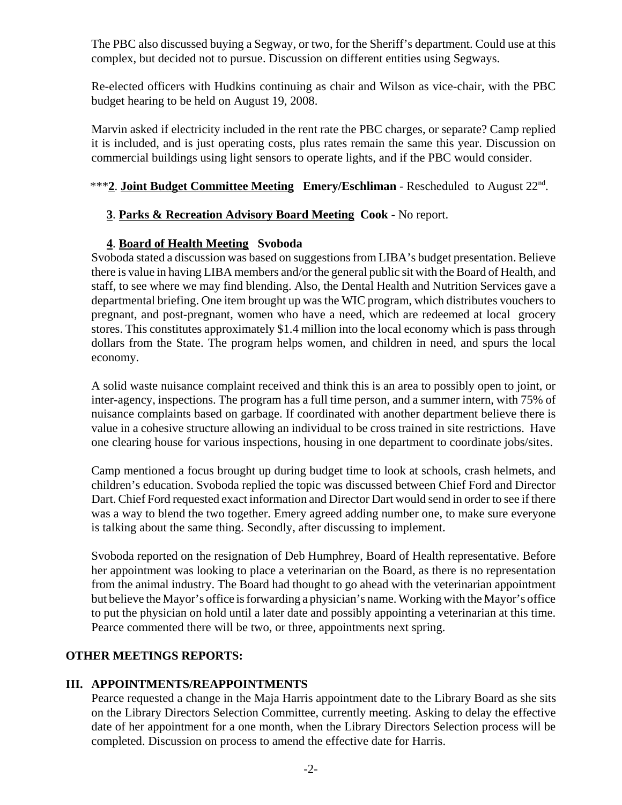The PBC also discussed buying a Segway, or two, for the Sheriff's department. Could use at this complex, but decided not to pursue. Discussion on different entities using Segways.

Re-elected officers with Hudkins continuing as chair and Wilson as vice-chair, with the PBC budget hearing to be held on August 19, 2008.

Marvin asked if electricity included in the rent rate the PBC charges, or separate? Camp replied it is included, and is just operating costs, plus rates remain the same this year. Discussion on commercial buildings using light sensors to operate lights, and if the PBC would consider.

# \*\*\***2**. **Joint Budget Committee Meeting Emery/Eschliman** - Rescheduled to August 22nd.

# **3**. **Parks & Recreation Advisory Board Meeting Cook** - No report.

# **4**. **Board of Health Meeting Svoboda**

Svoboda stated a discussion was based on suggestions from LIBA's budget presentation. Believe there is value in having LIBA members and/or the general public sit with the Board of Health, and staff, to see where we may find blending. Also, the Dental Health and Nutrition Services gave a departmental briefing. One item brought up was the WIC program, which distributes vouchers to pregnant, and post-pregnant, women who have a need, which are redeemed at local grocery stores. This constitutes approximately \$1.4 million into the local economy which is pass through dollars from the State. The program helps women, and children in need, and spurs the local economy.

A solid waste nuisance complaint received and think this is an area to possibly open to joint, or inter-agency, inspections. The program has a full time person, and a summer intern, with 75% of nuisance complaints based on garbage. If coordinated with another department believe there is value in a cohesive structure allowing an individual to be cross trained in site restrictions. Have one clearing house for various inspections, housing in one department to coordinate jobs/sites.

Camp mentioned a focus brought up during budget time to look at schools, crash helmets, and children's education. Svoboda replied the topic was discussed between Chief Ford and Director Dart. Chief Ford requested exact information and Director Dart would send in order to see if there was a way to blend the two together. Emery agreed adding number one, to make sure everyone is talking about the same thing. Secondly, after discussing to implement.

Svoboda reported on the resignation of Deb Humphrey, Board of Health representative. Before her appointment was looking to place a veterinarian on the Board, as there is no representation from the animal industry. The Board had thought to go ahead with the veterinarian appointment but believe the Mayor's office is forwarding a physician's name. Working with the Mayor's office to put the physician on hold until a later date and possibly appointing a veterinarian at this time. Pearce commented there will be two, or three, appointments next spring.

# **OTHER MEETINGS REPORTS:**

# **III. APPOINTMENTS/REAPPOINTMENTS**

Pearce requested a change in the Maja Harris appointment date to the Library Board as she sits on the Library Directors Selection Committee, currently meeting. Asking to delay the effective date of her appointment for a one month, when the Library Directors Selection process will be completed. Discussion on process to amend the effective date for Harris.